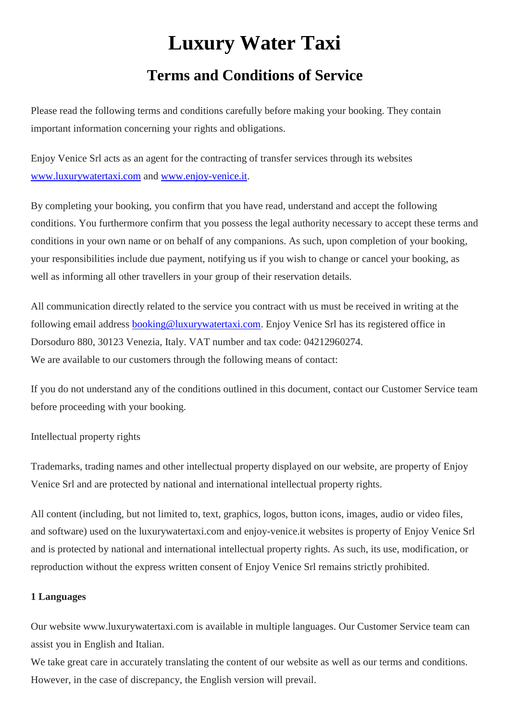# **Luxury Water Taxi**

# **Terms and Conditions of Service**

Please read the following terms and conditions carefully before making your booking. They contain important information concerning your rights and obligations.

Enjoy Venice Srl acts as an agent for the contracting of transfer services through its websites [www.luxurywatertaxi.com](http://www.luxurywatertaxi.com/) and [www.enjoy-venice.it.](http://www.enjoy-venice.it/)

By completing your booking, you confirm that you have read, understand and accept the following conditions. You furthermore confirm that you possess the legal authority necessary to accept these terms and conditions in your own name or on behalf of any companions. As such, upon completion of your booking, your responsibilities include due payment, notifying us if you wish to change or cancel your booking, as well as informing all other travellers in your group of their reservation details.

All communication directly related to the service you contract with us must be received in writing at the following email address [booking@luxurywatertaxi.com.](mailto:booking@luxurywatertaxi.com) Enjoy Venice Srl has its registered office in Dorsoduro 880, 30123 Venezia, Italy. VAT number and tax code: 04212960274. We are available to our customers through the following means of contact:

If you do not understand any of the conditions outlined in this document, contact our Customer Service team before proceeding with your booking.

# Intellectual property rights

Trademarks, trading names and other intellectual property displayed on our website, are property of Enjoy Venice Srl and are protected by national and international intellectual property rights.

All content (including, but not limited to, text, graphics, logos, button icons, images, audio or video files, and software) used on the luxurywatertaxi.com and enjoy-venice.it websites is property of Enjoy Venice Srl and is protected by national and international intellectual property rights. As such, its use, modification, or reproduction without the express written consent of Enjoy Venice Srl remains strictly prohibited.

# **1 Languages**

Our website www.luxurywatertaxi.com is available in multiple languages. Our Customer Service team can assist you in English and Italian.

We take great care in accurately translating the content of our website as well as our terms and conditions. However, in the case of discrepancy, the English version will prevail.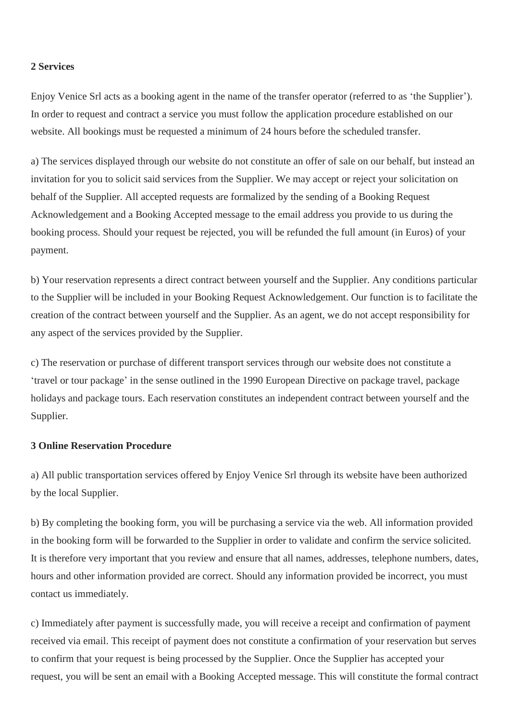#### **2 Services**

Enjoy Venice Srl acts as a booking agent in the name of the transfer operator (referred to as 'the Supplier'). In order to request and contract a service you must follow the application procedure established on our website. All bookings must be requested a minimum of 24 hours before the scheduled transfer.

a) The services displayed through our website do not constitute an offer of sale on our behalf, but instead an invitation for you to solicit said services from the Supplier. We may accept or reject your solicitation on behalf of the Supplier. All accepted requests are formalized by the sending of a Booking Request Acknowledgement and a Booking Accepted message to the email address you provide to us during the booking process. Should your request be rejected, you will be refunded the full amount (in Euros) of your payment.

b) Your reservation represents a direct contract between yourself and the Supplier. Any conditions particular to the Supplier will be included in your Booking Request Acknowledgement. Our function is to facilitate the creation of the contract between yourself and the Supplier. As an agent, we do not accept responsibility for any aspect of the services provided by the Supplier.

c) The reservation or purchase of different transport services through our website does not constitute a 'travel or tour package' in the sense outlined in the 1990 European Directive on package travel, package holidays and package tours. Each reservation constitutes an independent contract between yourself and the Supplier.

#### **3 Online Reservation Procedure**

a) All public transportation services offered by Enjoy Venice Srl through its website have been authorized by the local Supplier.

b) By completing the booking form, you will be purchasing a service via the web. All information provided in the booking form will be forwarded to the Supplier in order to validate and confirm the service solicited. It is therefore very important that you review and ensure that all names, addresses, telephone numbers, dates, hours and other information provided are correct. Should any information provided be incorrect, you must contact us immediately.

c) Immediately after payment is successfully made, you will receive a receipt and confirmation of payment received via email. This receipt of payment does not constitute a confirmation of your reservation but serves to confirm that your request is being processed by the Supplier. Once the Supplier has accepted your request, you will be sent an email with a Booking Accepted message. This will constitute the formal contract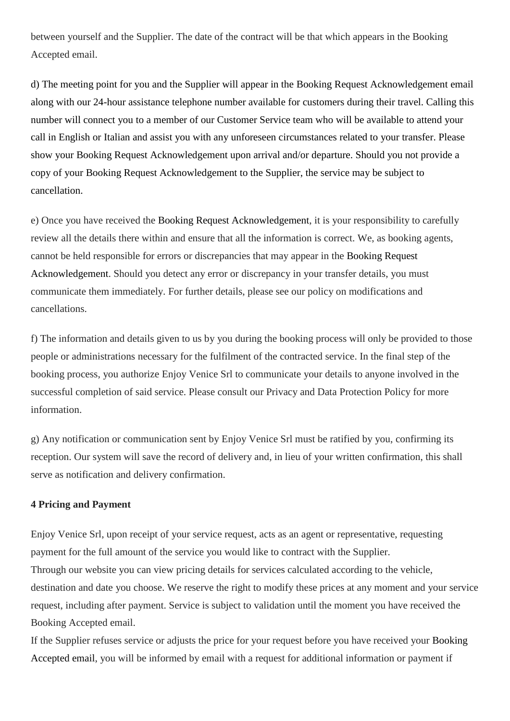between yourself and the Supplier. The date of the contract will be that which appears in the Booking Accepted email.

d) The meeting point for you and the Supplier will appear in the Booking Request Acknowledgement email along with our 24-hour assistance telephone number available for customers during their travel. Calling this number will connect you to a member of our Customer Service team who will be available to attend your call in English or Italian and assist you with any unforeseen circumstances related to your transfer. Please show your Booking Request Acknowledgement upon arrival and/or departure. Should you not provide a copy of your Booking Request Acknowledgement to the Supplier, the service may be subject to cancellation.

e) Once you have received the Booking Request Acknowledgement, it is your responsibility to carefully review all the details there within and ensure that all the information is correct. We, as booking agents, cannot be held responsible for errors or discrepancies that may appear in the Booking Request Acknowledgement. Should you detect any error or discrepancy in your transfer details, you must communicate them immediately. For further details, please see our policy on modifications and cancellations.

f) The information and details given to us by you during the booking process will only be provided to those people or administrations necessary for the fulfilment of the contracted service. In the final step of the booking process, you authorize Enjoy Venice Srl to communicate your details to anyone involved in the successful completion of said service. Please consult our Privacy and Data Protection Policy for more information.

g) Any notification or communication sent by Enjoy Venice Srl must be ratified by you, confirming its reception. Our system will save the record of delivery and, in lieu of your written confirmation, this shall serve as notification and delivery confirmation.

#### **4 Pricing and Payment**

Enjoy Venice Srl, upon receipt of your service request, acts as an agent or representative, requesting payment for the full amount of the service you would like to contract with the Supplier. Through our website you can view pricing details for services calculated according to the vehicle, destination and date you choose. We reserve the right to modify these prices at any moment and your service request, including after payment. Service is subject to validation until the moment you have received the Booking Accepted email.

If the Supplier refuses service or adjusts the price for your request before you have received your Booking Accepted email, you will be informed by email with a request for additional information or payment if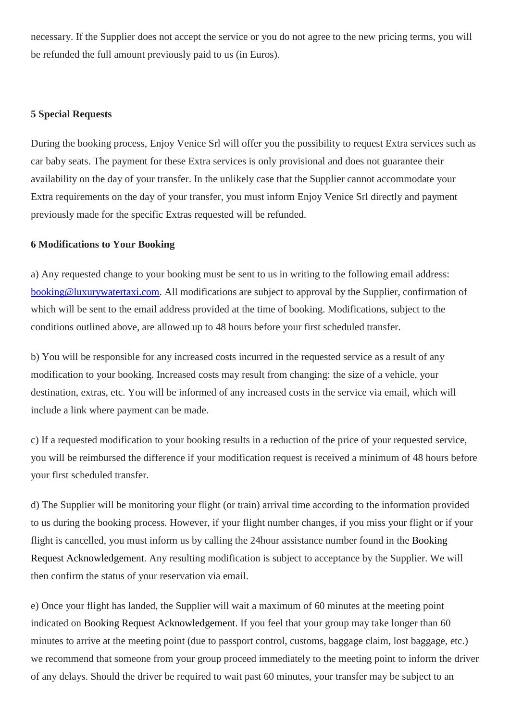necessary. If the Supplier does not accept the service or you do not agree to the new pricing terms, you will be refunded the full amount previously paid to us (in Euros).

#### **5 Special Requests**

During the booking process, Enjoy Venice Srl will offer you the possibility to request Extra services such as car baby seats. The payment for these Extra services is only provisional and does not guarantee their availability on the day of your transfer. In the unlikely case that the Supplier cannot accommodate your Extra requirements on the day of your transfer, you must inform Enjoy Venice Srl directly and payment previously made for the specific Extras requested will be refunded.

#### **6 Modifications to Your Booking**

a) Any requested change to your booking must be sent to us in writing to the following email address: [booking@luxurywatertaxi.com.](mailto:booking@luxurywatertaxi.com) All modifications are subject to approval by the Supplier, confirmation of which will be sent to the email address provided at the time of booking. Modifications, subject to the conditions outlined above, are allowed up to 48 hours before your first scheduled transfer.

b) You will be responsible for any increased costs incurred in the requested service as a result of any modification to your booking. Increased costs may result from changing: the size of a vehicle, your destination, extras, etc. You will be informed of any increased costs in the service via email, which will include a link where payment can be made.

c) If a requested modification to your booking results in a reduction of the price of your requested service, you will be reimbursed the difference if your modification request is received a minimum of 48 hours before your first scheduled transfer.

d) The Supplier will be monitoring your flight (or train) arrival time according to the information provided to us during the booking process. However, if your flight number changes, if you miss your flight or if your flight is cancelled, you must inform us by calling the 24hour assistance number found in the Booking Request Acknowledgement. Any resulting modification is subject to acceptance by the Supplier. We will then confirm the status of your reservation via email.

e) Once your flight has landed, the Supplier will wait a maximum of 60 minutes at the meeting point indicated on Booking Request Acknowledgement. If you feel that your group may take longer than 60 minutes to arrive at the meeting point (due to passport control, customs, baggage claim, lost baggage, etc.) we recommend that someone from your group proceed immediately to the meeting point to inform the driver of any delays. Should the driver be required to wait past 60 minutes, your transfer may be subject to an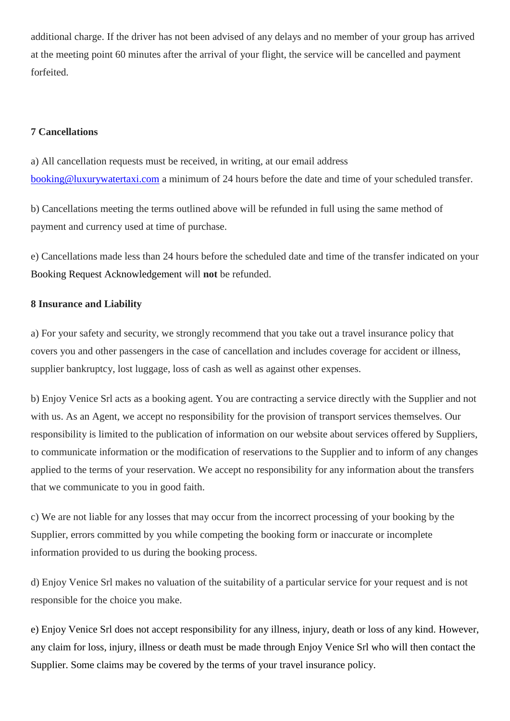additional charge. If the driver has not been advised of any delays and no member of your group has arrived at the meeting point 60 minutes after the arrival of your flight, the service will be cancelled and payment forfeited.

### **7 Cancellations**

a) All cancellation requests must be received, in writing, at our email address [booking@luxurywatertaxi.com](mailto:booking@luxurywatertaxi.com) a minimum of 24 hours before the date and time of your scheduled transfer.

b) Cancellations meeting the terms outlined above will be refunded in full using the same method of payment and currency used at time of purchase.

e) Cancellations made less than 24 hours before the scheduled date and time of the transfer indicated on your Booking Request Acknowledgement will **not** be refunded.

#### **8 Insurance and Liability**

a) For your safety and security, we strongly recommend that you take out a travel insurance policy that covers you and other passengers in the case of cancellation and includes coverage for accident or illness, supplier bankruptcy, lost luggage, loss of cash as well as against other expenses.

b) Enjoy Venice Srl acts as a booking agent. You are contracting a service directly with the Supplier and not with us. As an Agent, we accept no responsibility for the provision of transport services themselves. Our responsibility is limited to the publication of information on our website about services offered by Suppliers, to communicate information or the modification of reservations to the Supplier and to inform of any changes applied to the terms of your reservation. We accept no responsibility for any information about the transfers that we communicate to you in good faith.

c) We are not liable for any losses that may occur from the incorrect processing of your booking by the Supplier, errors committed by you while competing the booking form or inaccurate or incomplete information provided to us during the booking process.

d) Enjoy Venice Srl makes no valuation of the suitability of a particular service for your request and is not responsible for the choice you make.

e) Enjoy Venice Srl does not accept responsibility for any illness, injury, death or loss of any kind. However, any claim for loss, injury, illness or death must be made through Enjoy Venice Srl who will then contact the Supplier. Some claims may be covered by the terms of your travel insurance policy.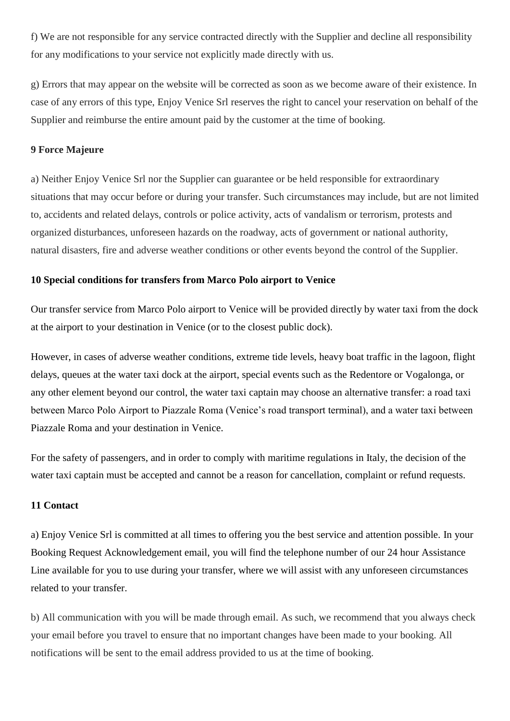f) We are not responsible for any service contracted directly with the Supplier and decline all responsibility for any modifications to your service not explicitly made directly with us.

g) Errors that may appear on the website will be corrected as soon as we become aware of their existence. In case of any errors of this type, Enjoy Venice Srl reserves the right to cancel your reservation on behalf of the Supplier and reimburse the entire amount paid by the customer at the time of booking.

#### **9 Force Majeure**

a) Neither Enjoy Venice Srl nor the Supplier can guarantee or be held responsible for extraordinary situations that may occur before or during your transfer. Such circumstances may include, but are not limited to, accidents and related delays, controls or police activity, acts of vandalism or terrorism, protests and organized disturbances, unforeseen hazards on the roadway, acts of government or national authority, natural disasters, fire and adverse weather conditions or other events beyond the control of the Supplier.

#### **10 Special conditions for transfers from Marco Polo airport to Venice**

Our transfer service from Marco Polo airport to Venice will be provided directly by water taxi from the dock at the airport to your destination in Venice (or to the closest public dock).

However, in cases of adverse weather conditions, extreme tide levels, heavy boat traffic in the lagoon, flight delays, queues at the water taxi dock at the airport, special events such as the Redentore or Vogalonga, or any other element beyond our control, the water taxi captain may choose an alternative transfer: a road taxi between Marco Polo Airport to Piazzale Roma (Venice's road transport terminal), and a water taxi between Piazzale Roma and your destination in Venice.

For the safety of passengers, and in order to comply with maritime regulations in Italy, the decision of the water taxi captain must be accepted and cannot be a reason for cancellation, complaint or refund requests.

#### **11 Contact**

a) Enjoy Venice Srl is committed at all times to offering you the best service and attention possible. In your Booking Request Acknowledgement email, you will find the telephone number of our 24 hour Assistance Line available for you to use during your transfer, where we will assist with any unforeseen circumstances related to your transfer.

b) All communication with you will be made through email. As such, we recommend that you always check your email before you travel to ensure that no important changes have been made to your booking. All notifications will be sent to the email address provided to us at the time of booking.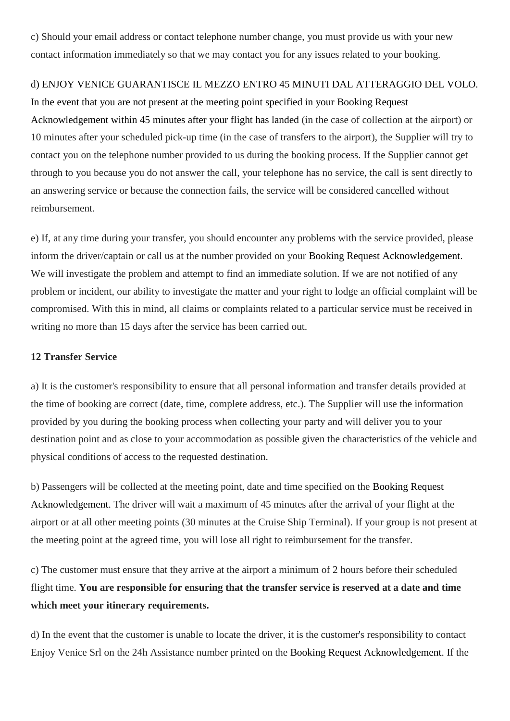c) Should your email address or contact telephone number change, you must provide us with your new contact information immediately so that we may contact you for any issues related to your booking.

# d) ENJOY VENICE GUARANTISCE IL MEZZO ENTRO 45 MINUTI DAL ATTERAGGIO DEL VOLO.

In the event that you are not present at the meeting point specified in your Booking Request Acknowledgement within 45 minutes after your flight has landed (in the case of collection at the airport) or 10 minutes after your scheduled pick-up time (in the case of transfers to the airport), the Supplier will try to contact you on the telephone number provided to us during the booking process. If the Supplier cannot get through to you because you do not answer the call, your telephone has no service, the call is sent directly to an answering service or because the connection fails, the service will be considered cancelled without reimbursement.

e) If, at any time during your transfer, you should encounter any problems with the service provided, please inform the driver/captain or call us at the number provided on your Booking Request Acknowledgement. We will investigate the problem and attempt to find an immediate solution. If we are not notified of any problem or incident, our ability to investigate the matter and your right to lodge an official complaint will be compromised. With this in mind, all claims or complaints related to a particular service must be received in writing no more than 15 days after the service has been carried out.

#### **12 Transfer Service**

a) It is the customer's responsibility to ensure that all personal information and transfer details provided at the time of booking are correct (date, time, complete address, etc.). The Supplier will use the information provided by you during the booking process when collecting your party and will deliver you to your destination point and as close to your accommodation as possible given the characteristics of the vehicle and physical conditions of access to the requested destination.

b) Passengers will be collected at the meeting point, date and time specified on the Booking Request Acknowledgement. The driver will wait a maximum of 45 minutes after the arrival of your flight at the airport or at all other meeting points (30 minutes at the Cruise Ship Terminal). If your group is not present at the meeting point at the agreed time, you will lose all right to reimbursement for the transfer.

c) The customer must ensure that they arrive at the airport a minimum of 2 hours before their scheduled flight time. **You are responsible for ensuring that the transfer service is reserved at a date and time which meet your itinerary requirements.**

d) In the event that the customer is unable to locate the driver, it is the customer's responsibility to contact Enjoy Venice Srl on the 24h Assistance number printed on the Booking Request Acknowledgement. If the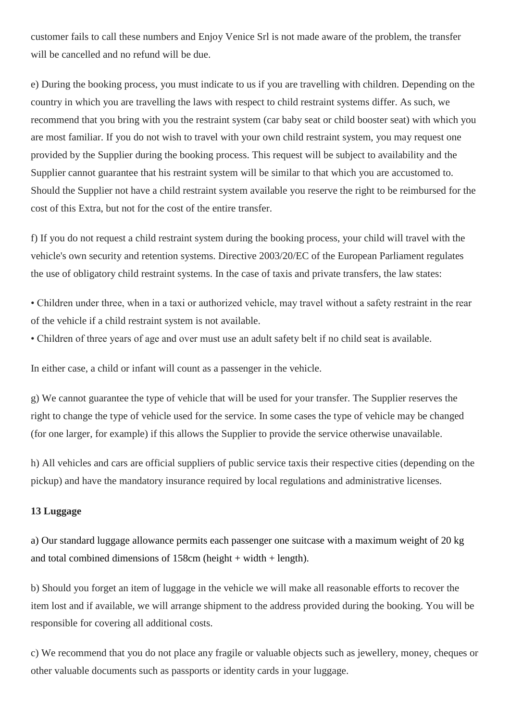customer fails to call these numbers and Enjoy Venice Srl is not made aware of the problem, the transfer will be cancelled and no refund will be due.

e) During the booking process, you must indicate to us if you are travelling with children. Depending on the country in which you are travelling the laws with respect to child restraint systems differ. As such, we recommend that you bring with you the restraint system (car baby seat or child booster seat) with which you are most familiar. If you do not wish to travel with your own child restraint system, you may request one provided by the Supplier during the booking process. This request will be subject to availability and the Supplier cannot guarantee that his restraint system will be similar to that which you are accustomed to. Should the Supplier not have a child restraint system available you reserve the right to be reimbursed for the cost of this Extra, but not for the cost of the entire transfer.

f) If you do not request a child restraint system during the booking process, your child will travel with the vehicle's own security and retention systems. Directive 2003/20/EC of the European Parliament regulates the use of obligatory child restraint systems. In the case of taxis and private transfers, the law states:

• Children under three, when in a taxi or authorized vehicle, may travel without a safety restraint in the rear of the vehicle if a child restraint system is not available.

• Children of three years of age and over must use an adult safety belt if no child seat is available.

In either case, a child or infant will count as a passenger in the vehicle.

g) We cannot guarantee the type of vehicle that will be used for your transfer. The Supplier reserves the right to change the type of vehicle used for the service. In some cases the type of vehicle may be changed (for one larger, for example) if this allows the Supplier to provide the service otherwise unavailable.

h) All vehicles and cars are official suppliers of public service taxis their respective cities (depending on the pickup) and have the mandatory insurance required by local regulations and administrative licenses.

#### **13 Luggage**

a) Our standard luggage allowance permits each passenger one suitcase with a maximum weight of 20 kg and total combined dimensions of  $158cm$  (height + width + length).

b) Should you forget an item of luggage in the vehicle we will make all reasonable efforts to recover the item lost and if available, we will arrange shipment to the address provided during the booking. You will be responsible for covering all additional costs.

c) We recommend that you do not place any fragile or valuable objects such as jewellery, money, cheques or other valuable documents such as passports or identity cards in your luggage.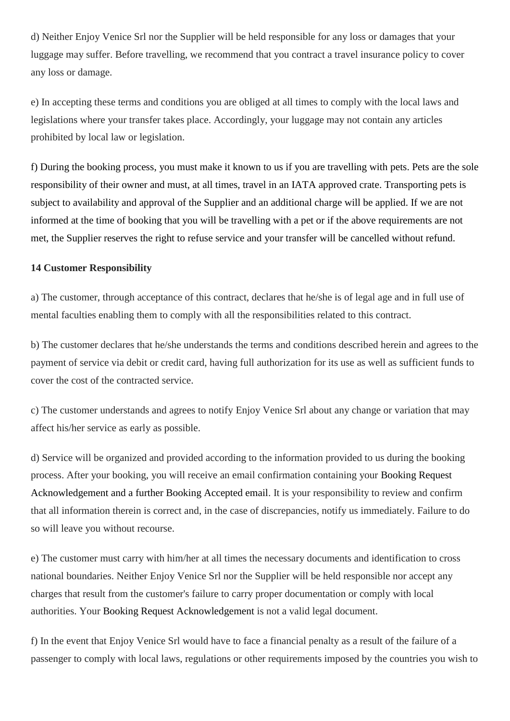d) Neither Enjoy Venice Srl nor the Supplier will be held responsible for any loss or damages that your luggage may suffer. Before travelling, we recommend that you contract a travel insurance policy to cover any loss or damage.

e) In accepting these terms and conditions you are obliged at all times to comply with the local laws and legislations where your transfer takes place. Accordingly, your luggage may not contain any articles prohibited by local law or legislation.

f) During the booking process, you must make it known to us if you are travelling with pets. Pets are the sole responsibility of their owner and must, at all times, travel in an IATA approved crate. Transporting pets is subject to availability and approval of the Supplier and an additional charge will be applied. If we are not informed at the time of booking that you will be travelling with a pet or if the above requirements are not met, the Supplier reserves the right to refuse service and your transfer will be cancelled without refund.

#### **14 Customer Responsibility**

a) The customer, through acceptance of this contract, declares that he/she is of legal age and in full use of mental faculties enabling them to comply with all the responsibilities related to this contract.

b) The customer declares that he/she understands the terms and conditions described herein and agrees to the payment of service via debit or credit card, having full authorization for its use as well as sufficient funds to cover the cost of the contracted service.

c) The customer understands and agrees to notify Enjoy Venice Srl about any change or variation that may affect his/her service as early as possible.

d) Service will be organized and provided according to the information provided to us during the booking process. After your booking, you will receive an email confirmation containing your Booking Request Acknowledgement and a further Booking Accepted email. It is your responsibility to review and confirm that all information therein is correct and, in the case of discrepancies, notify us immediately. Failure to do so will leave you without recourse.

e) The customer must carry with him/her at all times the necessary documents and identification to cross national boundaries. Neither Enjoy Venice Srl nor the Supplier will be held responsible nor accept any charges that result from the customer's failure to carry proper documentation or comply with local authorities. Your Booking Request Acknowledgement is not a valid legal document.

f) In the event that Enjoy Venice Srl would have to face a financial penalty as a result of the failure of a passenger to comply with local laws, regulations or other requirements imposed by the countries you wish to